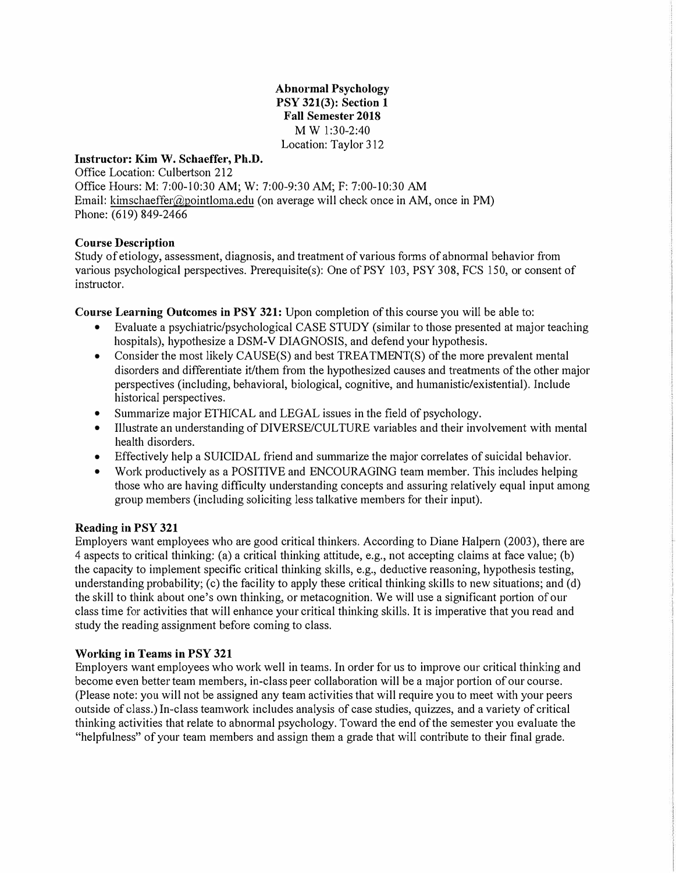**Abnormal Psychology PSY 321(3): Section 1 Fall Semester 2018** MW 1:30-2:40 Location: Taylor 312

#### **Instructor: Kim W. Schaeffer, Ph.D.**

Office Location: Culbertson 212 Office Hours: M: 7:00-10:30 AM; W: 7:00-9:30 AM; F: 7:00-10:30 AM Email: kimschaeffer@pointloma.edu (on average will check once in AM, once in PM) Phone: (619) 849-2466

#### **Course Description**

Study of etiology, assessment, diagnosis, and treatment of various forms of abnormal behavior from various psychological perspectives. Prerequisite(s): One of PSY 103, PSY 308, FCS 150, or consent of instructor.

**Course Learning Outcomes in PSY 321:** Upon completion of this course you will be able to:

- Evaluate a psychiatric/psychological CASE STUDY (similar to those presented at major teaching hospitals), hypothesize a DSM-V DIAGNOSIS, and defend your hypothesis.
- Consider the most likely CAUSE(S) and best TREATMENT(S) of the more prevalent mental disorders and differentiate it/them from the hypothesized causes and treatments of the other major perspectives (including, behavioral, biological, cognitive, and humanistic/existential). Include historical perspectives.
- Summarize major ETHICAL and LEGAL issues in the field of psychology.
- Illustrate an understanding of DIVERSE/CULTURE variables and their involvement with mental health disorders.
- Effectively help a SUICIDAL friend and summarize the major correlates of suicidal behavior.
- Work productively as a POSITIVE and ENCOURAGING team member. This includes helping those who are having difficulty understanding concepts and assuring relatively equal input among group members (including soliciting less talkative members for their input).

#### **Reading in PSY 321**

Employers want employees who are good critical thinkers. According to Diane Halpern (2003), there are 4 aspects to critical thinking: (a) a critical thinking attitude, e.g., not accepting claims at face value; (b) the capacity to implement specific critical thinking skills, e.g., deductive reasoning, hypothesis testing, understanding probability; (c) the facility to apply these critical thinking skills to new situations; and (d) the skill to think about one's own thinking, or metacognition. We will use a significant portion of our class time for activities that will enhance your critical thinking skills. It is imperative that you read and study the reading assignment before coming to class.

#### **Working in Teams in PSY 321**

Employers want employees who work well in teams. In order for us to improve our critical thinking and become even better team members, in-class peer collaboration will be a major portion of our course. (Please note: you will not be assigned any team activities that will require you to meet with your peers outside of class.) In-class teamwork includes analysis of case studies, quizzes, and a variety of critical thinking activities that relate to abnormal psychology. Toward the end of the semester you evaluate the "helpfulness" of your team members and assign them a grade that will contribute to their final grade.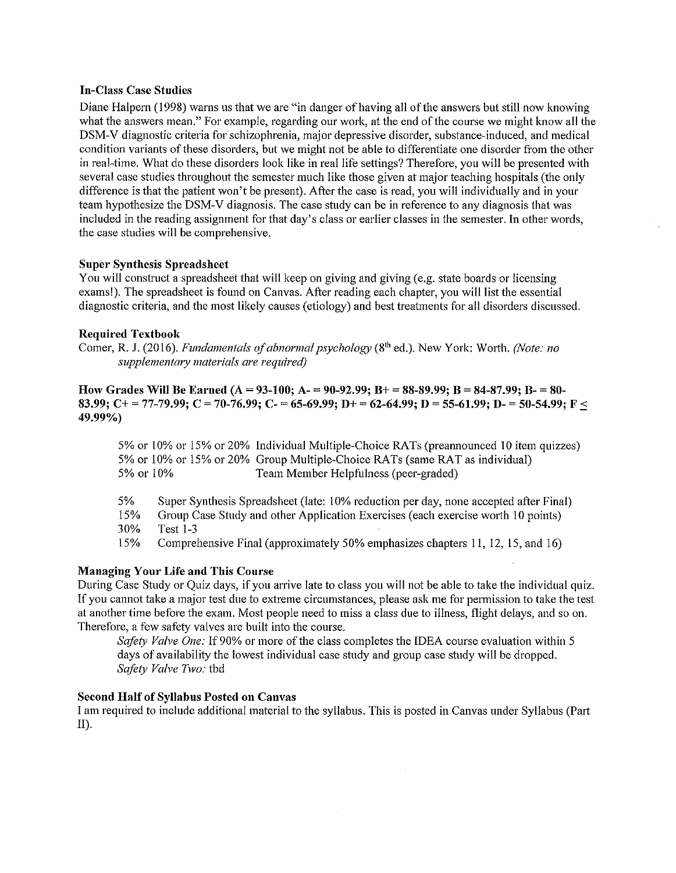#### **In-Class Case Studies**

Diane Halpern (1998) warns us that we are "in danger of having all of the answers but still now knowing what the answers mean." For example, regarding our work, at the end of the course we might know all the DSM-V diagnostic criteria for schizophrenia, major depressive disorder, substance-induced, and medical condition variants of these disorders, but we might not be able to differentiate one disorder from the other in real-time. What do these disorders look like in real life settings? Therefore, you will be presented with several case studies throughout the semester much like those given at major teaching hospitals (the only difference is that the patient won't be present). After the case is read, you will individually and in your team hypothesize the DSM-V diagnosis. The case study can be in reference to any diagnosis that was included in the reading assignment for that day's class or earlier classes in the semester. In other words, the case studies will be comprehensive.

#### **Super Synthesis Spreadsheet**

You will construct a spreadsheet that will keep on giving and giving (e.g. state boards or licensing exams!). The spreadsheet is found on Canvas. After reading each chapter, you will list the essential diagnostic criteria, and the most likely causes (etiology) and best treatments for all disorders discussed.

#### **Required Textbook**

Comer, R. J. (2016). Fundamentals of abnormal psychology (8<sup>th</sup> ed.). New York: Worth. (Note: no supplementary materials are required)

How Grades Will Be Earned (A = 93-100; A - 90-92.99; B + = 88-89.99; B = 84-87.99; B - = 80-83.99; C+ = 77-79.99; C = 70-76.99; C- = 65-69.99; D+ = 62-64.99; D = 55-61.99; D- = 50-54.99; F < 49.99%)

5% or 10% or 15% or 20% Individual Multiple-Choice RATs (preanounced 10 item quizzes) 5% or 10% or 15% or 20% Group Multiple-Choice RATs (same RAT as individual) 5% or 10% Team Member Helpfulness (peer-graded)

5% Super Synthesis Spreadsheet (late: 10% reduction per day, none accepted after Final)

Group Case Study and other Application Exercises (each exercise worth 10 points) 15% 30% **Test 1-3** 

15% Comprehensive Final (approximately 50% emphasizes chapters 11, 12, 15, and 16)

#### **Managing Your Life and This Course**

During Case Study or Quiz days, if you arrive late to class you will not be able to take the individual quiz. If you cannot take a major test due to extreme circumstances, please ask me for permission to take the test at another time before the exam. Most people need to miss a class due to illness, flight delays, and so on. Therefore, a few safety valves are built into the course.

Safety Valve One: If 90% or more of the class completes the IDEA course evaluation within 5 days of availability the lowest individual case study and group case study will be dropped. Safety Valve Two: tbd

#### **Second Half of Syllabus Posted on Canvas**

I am required to include additional material to the syllabus. This is posted in Canvas under Syllabus (Part  $II$ ).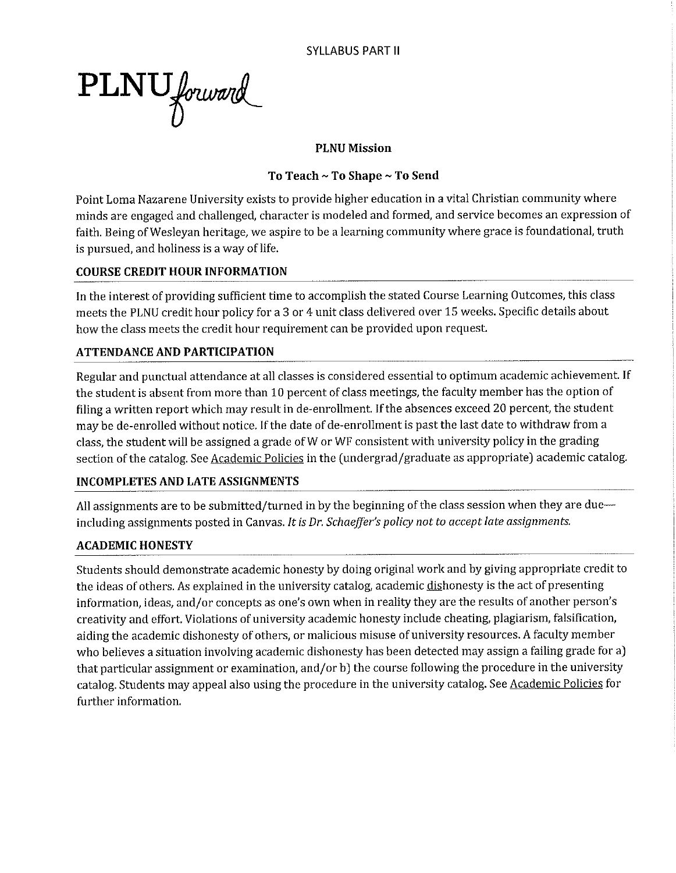PLNU forward

## **PLNU Mission**

## To Teach ~ To Shape ~ To Send

Point Loma Nazarene University exists to provide higher education in a vital Christian community where minds are engaged and challenged, character is modeled and formed, and service becomes an expression of faith. Being of Wesleyan heritage, we aspire to be a learning community where grace is foundational, truth is pursued, and holiness is a way of life.

## **COURSE CREDIT HOUR INFORMATION**

In the interest of providing sufficient time to accomplish the stated Course Learning Outcomes, this class meets the PLNU credit hour policy for a 3 or 4 unit class delivered over 15 weeks. Specific details about how the class meets the credit hour requirement can be provided upon request.

## **ATTENDANCE AND PARTICIPATION**

Regular and punctual attendance at all classes is considered essential to optimum academic achievement. If the student is absent from more than 10 percent of class meetings, the faculty member has the option of filing a written report which may result in de-enrollment. If the absences exceed 20 percent, the student may be de-enrolled without notice. If the date of de-enrollment is past the last date to withdraw from a class, the student will be assigned a grade of W or WF consistent with university policy in the grading section of the catalog. See Academic Policies in the (undergrad/graduate as appropriate) academic catalog.

## **INCOMPLETES AND LATE ASSIGNMENTS**

All assignments are to be submitted/turned in by the beginning of the class session when they are dueincluding assignments posted in Canvas. It is Dr. Schaeffer's policy not to accept late assignments.

## **ACADEMIC HONESTY**

Students should demonstrate academic honesty by doing original work and by giving appropriate credit to the ideas of others. As explained in the university catalog, academic dishonesty is the act of presenting information, ideas, and/or concepts as one's own when in reality they are the results of another person's creativity and effort. Violations of university academic honesty include cheating, plagiarism, falsification, aiding the academic dishonesty of others, or malicious misuse of university resources. A faculty member who believes a situation involving academic dishonesty has been detected may assign a failing grade for a) that particular assignment or examination, and/or b) the course following the procedure in the university catalog. Students may appeal also using the procedure in the university catalog. See Academic Policies for further information.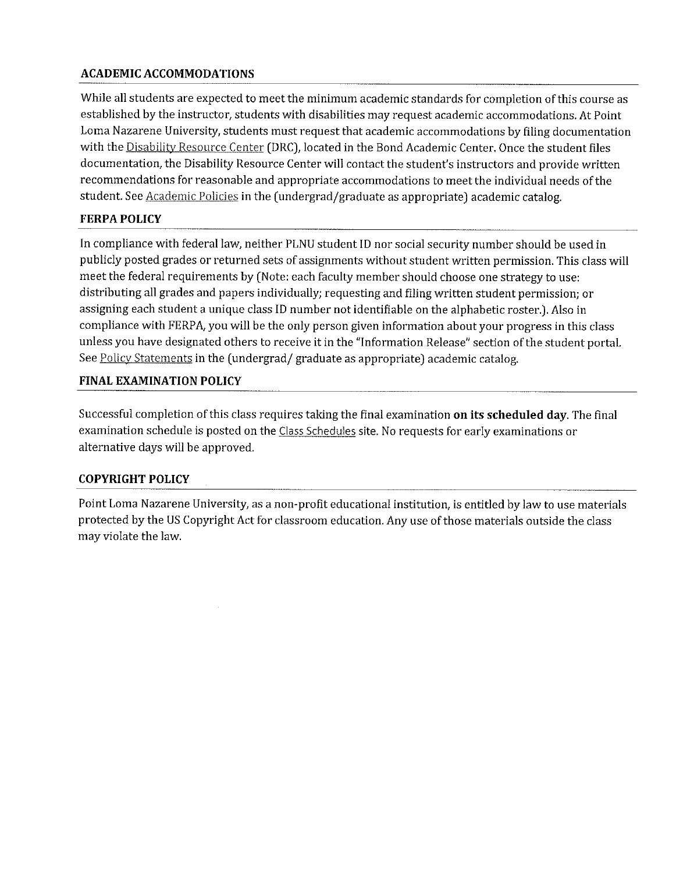## **ACADEMIC ACCOMMODATIONS**

While all students are expected to meet the minimum academic standards for completion of this course as established by the instructor, students with disabilities may request academic accommodations. At Point Loma Nazarene University, students must request that academic accommodations by filing documentation with the Disability Resource Center (DRC), located in the Bond Academic Center. Once the student files documentation, the Disability Resource Center will contact the student's instructors and provide written recommendations for reasonable and appropriate accommodations to meet the individual needs of the student. See Academic Policies in the (undergrad/graduate as appropriate) academic catalog.

## **FERPA POLICY**

In compliance with federal law, neither PLNU student ID nor social security number should be used in publicly posted grades or returned sets of assignments without student written permission. This class will meet the federal requirements by (Note: each faculty member should choose one strategy to use: distributing all grades and papers individually; requesting and filing written student permission; or assigning each student a unique class ID number not identifiable on the alphabetic roster.). Also in compliance with FERPA, you will be the only person given information about your progress in this class unless you have designated others to receive it in the "Information Release" section of the student portal. See Policy Statements in the (undergrad/graduate as appropriate) academic catalog.

## **FINAL EXAMINATION POLICY**

Successful completion of this class requires taking the final examination on its scheduled day. The final examination schedule is posted on the Class Schedules site. No requests for early examinations or alternative days will be approved.

## **COPYRIGHT POLICY**

Point Loma Nazarene University, as a non-profit educational institution, is entitled by law to use materials protected by the US Copyright Act for classroom education. Any use of those materials outside the class may violate the law.